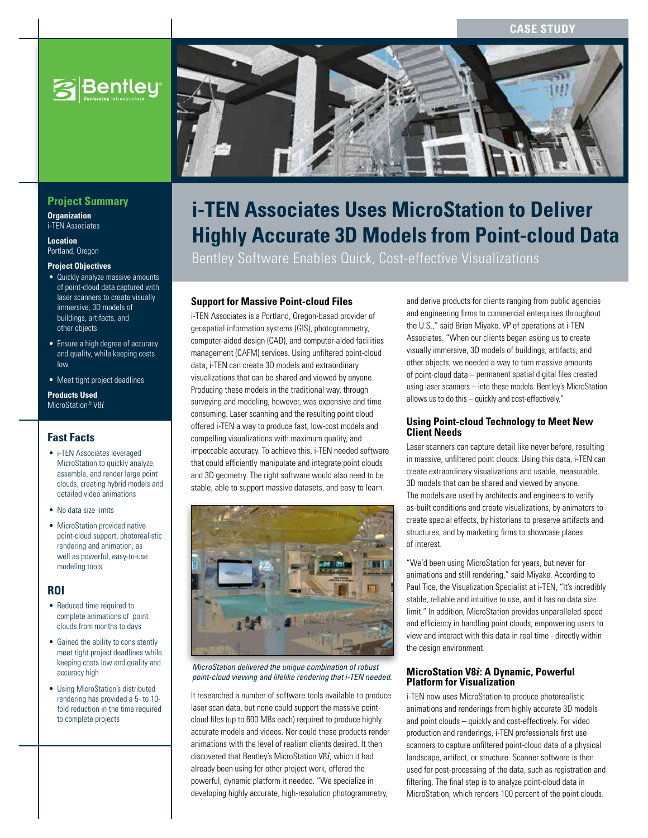**Case Study**





# **i-TEN Associates Uses MicroStation to Deliver Highly Accurate 3D Models from Point-cloud Data**

Bentley Software Enables Quick, Cost-effective Visualizations

# **Support for Massive Point-cloud Files**

i-TEN Associates is a Portland, Oregon-based provider of geospatial information systems (GIS), photogrammetry, computer-aided design (CAD), and computer-aided facilities management (CAFM) services. Using unfiltered point-cloud data, i-TEN can create 3D models and extraordinary visualizations that can be shared and viewed by anyone. Producing these models in the traditional way, through surveying and modeling, however, was expensive and time consuming. Laser scanning and the resulting point cloud offered i-TEN a way to produce fast, low-cost models and compelling visualizations with maximum quality, and impeccable accuracy. To achieve this, i-TEN needed software that could efficiently manipulate and integrate point clouds and 3D geometry. The right software would also need to be stable, able to support massive datasets, and easy to learn.



#### *MicroStation delivered the unique combination of robust point-cloud viewing and lifelike rendering that i-TEN needed.*

It researched a number of software tools available to produce laser scan data, but none could support the massive pointcloud files (up to 600 MBs each) required to produce highly accurate models and videos. Nor could these products render animations with the level of realism clients desired. It then discovered that Bentley's MicroStation V8*i*, which it had already been using for other project work, offered the powerful, dynamic platform it needed. "We specialize in developing highly accurate, high-resolution photogrammetry,

and derive products for clients ranging from public agencies and engineering firms to commercial enterprises throughout the U.S.," said Brian Miyake, VP of operations at i-TEN Associates. "When our clients began asking us to create visually immersive, 3D models of buildings, artifacts, and other objects, we needed a way to turn massive amounts of point-cloud data – permanent spatial digital files created using laser scanners – into these models. Bentley's MicroStation allows us to do this – quickly and cost-effectively."

### **Using Point-cloud Technology to Meet New Client Needs**

Laser scanners can capture detail like never before, resulting in massive, unfiltered point clouds. Using this data, i-TEN can create extraordinary visualizations and usable, measurable, 3D models that can be shared and viewed by anyone. The models are used by architects and engineers to verify as-built conditions and create visualizations, by animators to create special effects, by historians to preserve artifacts and structures, and by marketing firms to showcase places of interest.

"We'd been using MicroStation for years, but never for animations and still rendering," said Miyake. According to Paul Tice, the Visualization Specialist at i-TEN, "It's incredibly stable, reliable and intuitive to use, and it has no data size limit." In addition, MicroStation provides unparalleled speed and efficiency in handling point clouds, empowering users to view and interact with this data in real time - directly within the design environment.

# **MicroStation V8***i***: A Dynamic, Powerful Platform for Visualization**

i-TEN now uses MicroStation to produce photorealistic animations and renderings from highly accurate 3D models and point clouds – quickly and cost-effectively. For video production and renderings, i-TEN professionals first use scanners to capture unfiltered point-cloud data of a physical landscape, artifact, or structure. Scanner software is then used for post-processing of the data, such as registration and filtering. The final step is to analyze point-cloud data in MicroStation, which renders 100 percent of the point clouds.

# **Project Summary**

#### **Organization** i-TEN Associates

**Location** Portland, Oregon

#### **Project Objectives**

- Quickly analyze massive amounts of point-cloud data captured with laser scanners to create visually immersive, 3D models of buildings, artifacts, and other objects
- Ensure a high degree of accuracy and quality, while keeping costs low
- Meet tight project deadlines

#### **Products Used**  MicroStation® V8*i*

# **Fast Facts**

- i-TEN Associates leveraged MicroStation to quickly analyze, assemble, and render large point clouds, creating hybrid models and detailed video animations
- No data size limits
- MicroStation provided native point-cloud support, photorealistic rendering and animation, as well as powerful, easy-to-use modeling tools

**ROI**

- Reduced time required to complete animations of point clouds from months to days
- Gained the ability to consistently meet tight project deadlines while keeping costs low and quality and accuracy high
- Using MicroStation's distributed rendering has provided a 5- to 10 fold reduction in the time required to complete projects